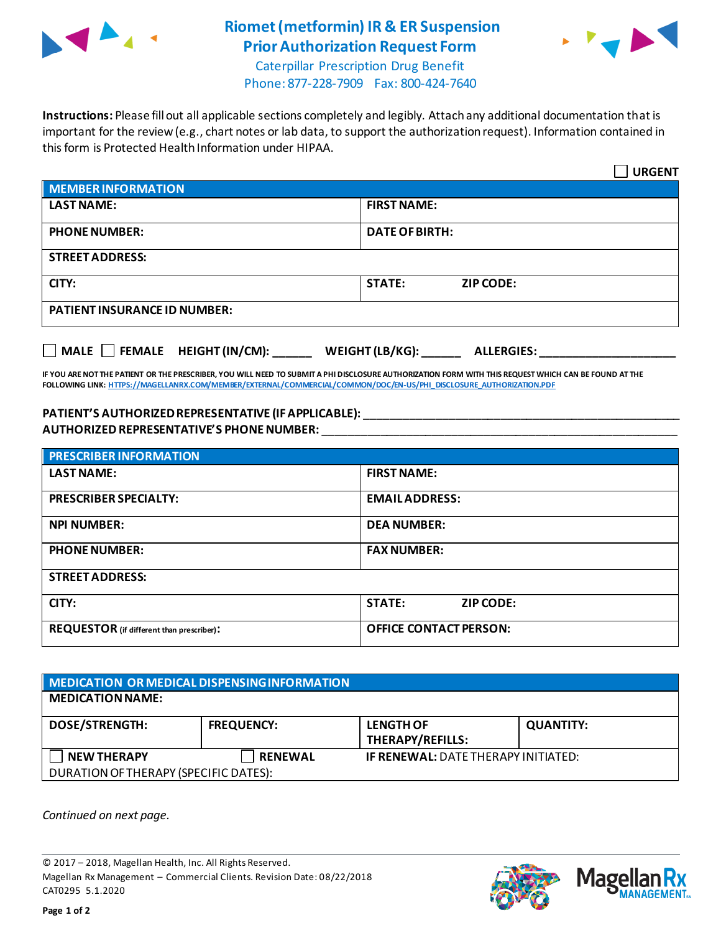

## **Riomet (metformin) IR & ER Suspension Prior Authorization Request Form**



Caterpillar Prescription Drug Benefit Phone: 877-228-7909 Fax: 800-424-7640

**Instructions:** Please fill out all applicable sections completely and legibly. Attach any additional documentation that is important for the review (e.g., chart notes or lab data, to support the authorization request). Information contained in this form is Protected Health Information under HIPAA.

|                                           | <b>URGENT</b>                        |  |  |
|-------------------------------------------|--------------------------------------|--|--|
| MEMBER INFORMATION                        |                                      |  |  |
| <b>LAST NAME:</b>                         | <b>FIRST NAME:</b>                   |  |  |
| <b>PHONE NUMBER:</b>                      | <b>DATE OF BIRTH:</b>                |  |  |
| <b>STREET ADDRESS:</b>                    |                                      |  |  |
| CITY:                                     | <b>STATE:</b><br><b>ZIP CODE:</b>    |  |  |
| <b>PATIENT INSURANCE ID NUMBER:</b>       |                                      |  |  |
| $\Box$ MALE $\Box$ FEMALE HEIGHT (IN/CM): | WEIGHT (LB/KG):<br><b>ALLERGIES:</b> |  |  |

**IF YOU ARE NOT THE PATIENT OR THE PRESCRIBER, YOU WILL NEED TO SUBMIT A PHI DISCLOSURE AUTHORIZATION FORM WITH THIS REQUEST WHICH CAN BE FOUND AT THE FOLLOWING LINK[: HTTPS://MAGELLANRX.COM/MEMBER/EXTERNAL/COMMERCIAL/COMMON/DOC/EN-US/PHI\\_DISCLOSURE\\_AUTHORIZATION.PDF](https://magellanrx.com/member/external/commercial/common/doc/en-us/PHI_Disclosure_Authorization.pdf)**

## **PATIENT'S AUTHORIZEDREPRESENTATIVE (IF APPLICABLE):** \_\_\_\_\_\_\_\_\_\_\_\_\_\_\_\_\_\_\_\_\_\_\_\_\_\_\_\_\_\_\_\_\_\_\_\_\_\_\_\_\_\_\_\_\_\_\_\_\_ **AUTHORIZED REPRESENTATIVE'S PHONE NUMBER:** \_\_\_\_\_\_\_\_\_\_\_\_\_\_\_\_\_\_\_\_\_\_\_\_\_\_\_\_\_\_\_\_\_\_\_\_\_\_\_\_\_\_\_\_\_\_\_\_\_\_\_\_\_\_\_

| <b>PRESCRIBER INFORMATION</b>             |                               |  |
|-------------------------------------------|-------------------------------|--|
| <b>LAST NAME:</b>                         | <b>FIRST NAME:</b>            |  |
| <b>PRESCRIBER SPECIALTY:</b>              | <b>EMAIL ADDRESS:</b>         |  |
| <b>NPI NUMBER:</b>                        | <b>DEA NUMBER:</b>            |  |
| <b>PHONE NUMBER:</b>                      | <b>FAX NUMBER:</b>            |  |
| <b>STREET ADDRESS:</b>                    |                               |  |
| CITY:                                     | <b>STATE:</b><br>ZIP CODE:    |  |
| REQUESTOR (if different than prescriber): | <b>OFFICE CONTACT PERSON:</b> |  |

| MEDICATION OR MEDICAL DISPENSING INFORMATION |                   |                                             |                  |  |  |
|----------------------------------------------|-------------------|---------------------------------------------|------------------|--|--|
| <b>MEDICATION NAME:</b>                      |                   |                                             |                  |  |  |
| <b>DOSE/STRENGTH:</b>                        | <b>FREQUENCY:</b> | <b>LENGTH OF</b><br><b>THERAPY/REFILLS:</b> | <b>QUANTITY:</b> |  |  |
| <b>NEW THERAPY</b>                           | <b>RENEWAL</b>    | <b>IF RENEWAL: DATE THERAPY INITIATED:</b>  |                  |  |  |
| DURATION OF THERAPY (SPECIFIC DATES):        |                   |                                             |                  |  |  |

*Continued on next page.*

© 2017 – 2018, Magellan Health, Inc. All Rights Reserved. Magellan Rx Management – Commercial Clients. Revision Date: 08/22/2018 CAT0295 5.1.2020